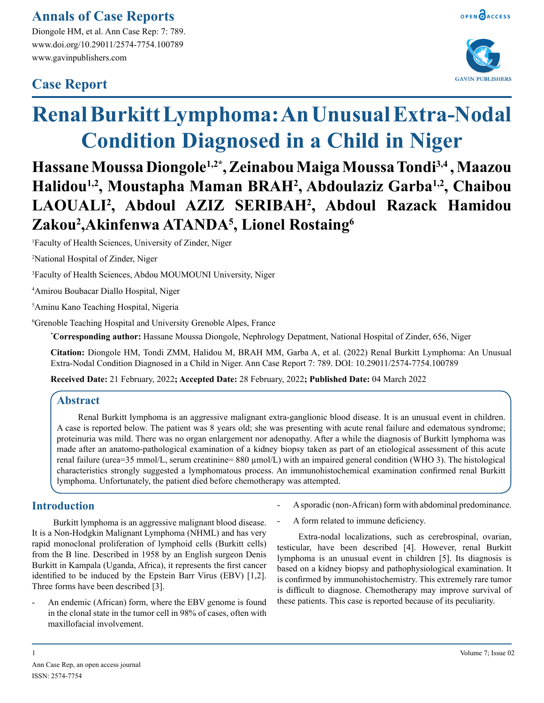### **Annals of Case Reports**

Diongole HM, et al. Ann Case Rep: 7: 789. www.doi.org/10.29011/2574-7754.100789 www.gavinpublishers.com

## **Case Report**





# **Renal Burkitt Lymphoma: An Unusual Extra-Nodal Condition Diagnosed in a Child in Niger**

## **Hassane Moussa Diongole1,2\*, Zeinabou Maiga Moussa Tondi3,4 , Maazou Halidou1,2, Moustapha Maman BRAH2 , Abdoulaziz Garba1,2, Chaibou LAOUALI2 , Abdoul AZIZ SERIBAH2 , Abdoul Razack Hamidou Zakou2 ,Akinfenwa ATANDA5 , Lionel Rostaing6**

1 Faculty of Health Sciences, University of Zinder, Niger

2 National Hospital of Zinder, Niger

3 Faculty of Health Sciences, Abdou MOUMOUNI University, Niger

4 Amirou Boubacar Diallo Hospital, Niger

5 Aminu Kano Teaching Hospital, Nigeria

6 Grenoble Teaching Hospital and University Grenoble Alpes, France

**\* Corresponding author:** Hassane Moussa Diongole, Nephrology Depatment, National Hospital of Zinder, 656, Niger

**Citation:** Diongole HM, Tondi ZMM, Halidou M, BRAH MM, Garba A, et al. (2022) Renal Burkitt Lymphoma: An Unusual Extra-Nodal Condition Diagnosed in a Child in Niger. Ann Case Report 7: 789. DOI: 10.29011/2574-7754.100789

**Received Date:** 21 February, 2022**; Accepted Date:** 28 February, 2022**; Published Date:** 04 March 2022

#### **Abstract**

Renal Burkitt lymphoma is an aggressive malignant extra-ganglionic blood disease. It is an unusual event in children. A case is reported below. The patient was 8 years old; she was presenting with acute renal failure and edematous syndrome; proteinuria was mild. There was no organ enlargement nor adenopathy. After a while the diagnosis of Burkitt lymphoma was made after an anatomo-pathological examination of a kidney biopsy taken as part of an etiological assessment of this acute renal failure (urea=35 mmol/L, serum creatinine=  $880 \mu$ mol/L) with an impaired general condition (WHO 3). The histological characteristics strongly suggested a lymphomatous process. An immunohistochemical examination confirmed renal Burkitt lymphoma. Unfortunately, the patient died before chemotherapy was attempted.

#### **Introduction**

Burkitt lymphoma is an aggressive malignant blood disease. It is a Non-Hodgkin Malignant Lymphoma (NHML) and has very rapid monoclonal proliferation of lymphoid cells (Burkitt cells) from the B line. Described in 1958 by an English surgeon Denis Burkitt in Kampala (Uganda, Africa), it represents the first cancer identified to be induced by the Epstein Barr Virus (EBV) [1,2]. Three forms have been described [3].

An endemic (African) form, where the EBV genome is found in the clonal state in the tumor cell in 98% of cases, often with maxillofacial involvement.

- A sporadic (non-African) form with abdominal predominance.
- A form related to immune deficiency.

Extra-nodal localizations, such as cerebrospinal, ovarian, testicular, have been described [4]. However, renal Burkitt lymphoma is an unusual event in children [5]. Its diagnosis is based on a kidney biopsy and pathophysiological examination. It is confirmed by immunohistochemistry. This extremely rare tumor is difficult to diagnose. Chemotherapy may improve survival of these patients. This case is reported because of its peculiarity.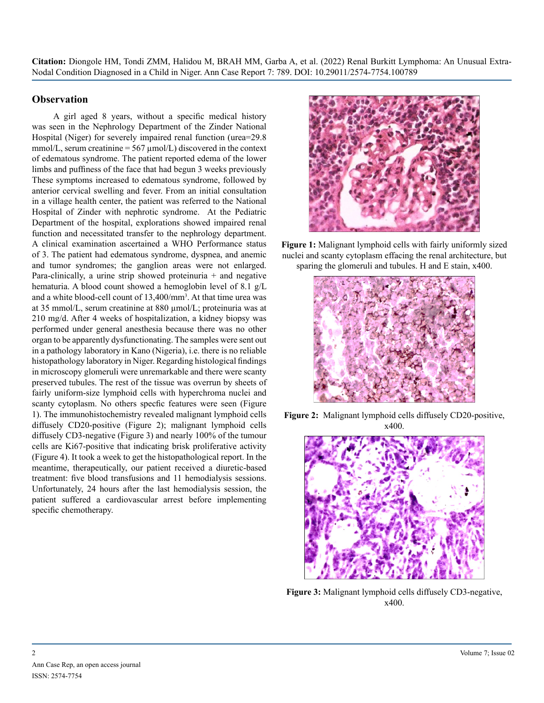**Citation:** Diongole HM, Tondi ZMM, Halidou M, BRAH MM, Garba A, et al. (2022) Renal Burkitt Lymphoma: An Unusual Extra-Nodal Condition Diagnosed in a Child in Niger. Ann Case Report 7: 789. DOI: 10.29011/2574-7754.100789

#### **Observation**

A girl aged 8 years, without a specific medical history was seen in the Nephrology Department of the Zinder National Hospital (Niger) for severely impaired renal function (urea=29.8 mmol/L, serum creatinine =  $567 \mu$ mol/L) discovered in the context of edematous syndrome. The patient reported edema of the lower limbs and puffiness of the face that had begun 3 weeks previously These symptoms increased to edematous syndrome, followed by anterior cervical swelling and fever. From an initial consultation in a village health center, the patient was referred to the National Hospital of Zinder with nephrotic syndrome. At the Pediatric Department of the hospital, explorations showed impaired renal function and necessitated transfer to the nephrology department. A clinical examination ascertained a WHO Performance status of 3. The patient had edematous syndrome, dyspnea, and anemic and tumor syndromes; the ganglion areas were not enlarged. Para-clinically, a urine strip showed proteinuria + and negative hematuria. A blood count showed a hemoglobin level of 8.1 g/L and a white blood-cell count of 13,400/mm<sup>3</sup>. At that time urea was at 35 mmol/L, serum creatinine at 880 µmol/L; proteinuria was at 210 mg/d. After 4 weeks of hospitalization, a kidney biopsy was performed under general anesthesia because there was no other organ to be apparently dysfunctionating. The samples were sent out in a pathology laboratory in Kano (Nigeria), i.e. there is no reliable histopathology laboratory in Niger. Regarding histological findings in microscopy glomeruli were unremarkable and there were scanty preserved tubules. The rest of the tissue was overrun by sheets of fairly uniform-size lymphoid cells with hyperchroma nuclei and scanty cytoplasm. No others specfic features were seen (Figure 1). The immunohistochemistry revealed malignant lymphoid cells diffusely CD20-positive (Figure 2); malignant lymphoid cells diffusely CD3-negative (Figure 3) and nearly 100% of the tumour cells are Ki67-positive that indicating brisk proliferative activity (Figure 4). It took a week to get the histopathological report. In the meantime, therapeutically, our patient received a diuretic-based treatment: five blood transfusions and 11 hemodialysis sessions. Unfortunately, 24 hours after the last hemodialysis session, the patient suffered a cardiovascular arrest before implementing specific chemotherapy.



**Figure 1:** Malignant lymphoid cells with fairly uniformly sized nuclei and scanty cytoplasm effacing the renal architecture, but sparing the glomeruli and tubules. H and E stain, x400.







**Figure 3:** Malignant lymphoid cells diffusely CD3-negative, x400.